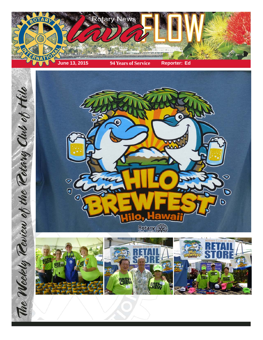